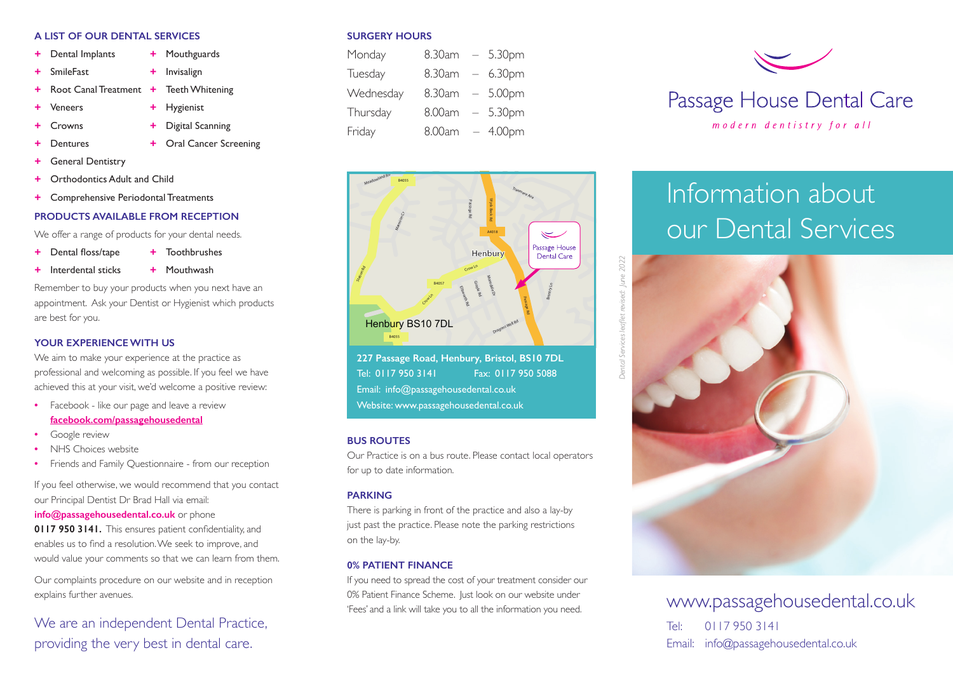#### **A LIST OF OUR DENTAL SERVICES**

- **+** Dental Implants **+** Mouthguards
- **+** SmileFast **+** Invisalign
- **+** Root Canal Treatment **+** Teeth Whitening
- **+** Veneers **+** Hygienist
	-
	- **+** Crowns **+** Digital Scanning
- 
- **+** Dentures **+** Oral Cancer Screening
- **+** General Dentistry
- **Orthodontics Adult and Child**
- **+** Comprehensive Periodontal Treatments

# **PRODUCTS AVAILABLE FROM RECEPTION**

We offer a range of products for your dental needs.

- **+** Dental floss/tape **+** Toothbrushes
- **+** Interdental sticks **+** Mouthwash

Remember to buy your products when you next have an appointment. Ask your Dentist or Hygienist which products are best for you.

# **YOUR EXPERIENCE WITH US**

We aim to make your experience at the practice as professional and welcoming as possible. If you feel we have achieved this at your visit, we'd welcome a positive review:

- **•** Facebook like our page and leave a review **facebook.com/passagehousedental**
- **•** Google review
- **•** NHS Choices website
- **•** Friends and Family Questionnaire from our reception

If you feel otherwise, we would recommend that you contact our Principal Dentist Dr Brad Hall via email:

# **info@passagehousedental.co.uk** or phone

**0117 950 3141.** This ensures patient confidentiality, and enables us to find a resolution. We seek to improve, and would value your comments so that we can learn from them.

Our complaints procedure on our website and in reception explains further avenues.

# We are an independent Dental Practice, providing the very best in dental care.

#### **SURGERY HOURS**

| Monday    | 8.30am | $-5.30$ pm |
|-----------|--------|------------|
| Tuesday   | 8.30am | $-6.30$ pm |
| Wednesday | 8.30am | $-5.00$ pm |
| Thursday  | 8.00am | $-5.30$ pm |
| Friday    | 8.00am | $-4.00$ pm |



**227 Passage Road, Henbury, Bristol, BS10 7DL**  Tel: 0117 950 3141 Fax: 0117 950 5088 Email: info@passagehousedental.co.uk Website: www.passagehousedental.co.uk

# **BUS ROUTES**

Our Practice is on a bus route. Please contact local operators for up to date information.

# **PARKING**

There is parking in front of the practice and also a lay-by just past the practice. Please note the parking restrictions on the lay-by.

# **0% PATIENT FINANCE**

If you need to spread the cost of your treatment consider our 0% Patient Finance Scheme. Just look on our website under



# Information about our Dental Services



www.passagehousedental.co.uk

Tel: 0117 950 3141 Email: info@passagehousedental.co.uk

*Dental Services leaflet revised: June 2022*